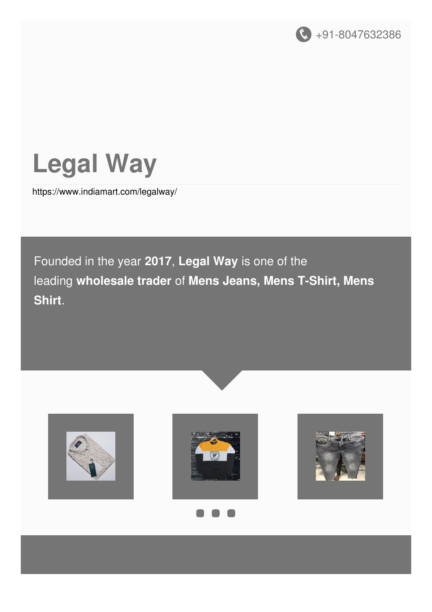



<https://www.indiamart.com/legalway/>

Founded in the year **2017**, **Legal Way** is one of the leading **wholesale trader** of **Mens Jeans, Mens T-Shirt, Mens Shirt**.









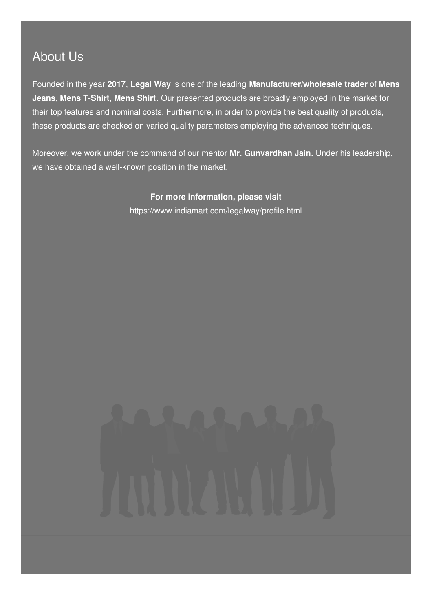# About Us

Founded in the year **2017**, **Legal Way** is one of the leading **Manufacturer/wholesale trader** of **Mens Jeans, Mens T-Shirt, Mens Shirt**. Our presented products are broadly employed in the market for their top features and nominal costs. Furthermore, in order to provide the best quality of products, these products are checked on varied quality parameters employing the advanced techniques.

Moreover, we work under the command of our mentor **Mr. Gunvardhan Jain.** Under his leadership, we have obtained a well-known position in the market.

> **For more information, please visit** <https://www.indiamart.com/legalway/profile.html>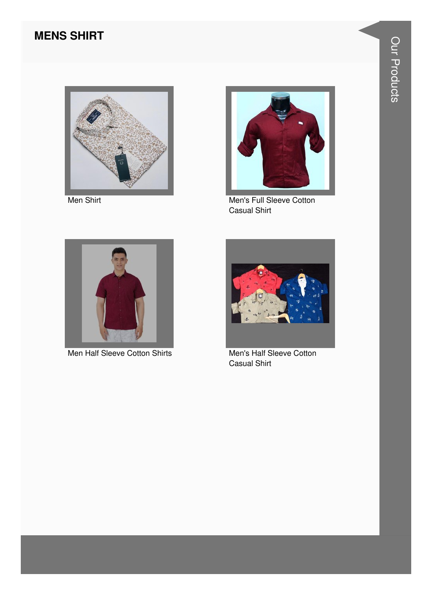#### **MENS SHIRT**



Men Shirt



Men's Full Sleeve Cotton **Casual Shirt** 



Men Half Sleeve Cotton Shirts



Men's Half Sleeve Cotton **Casual Shirt**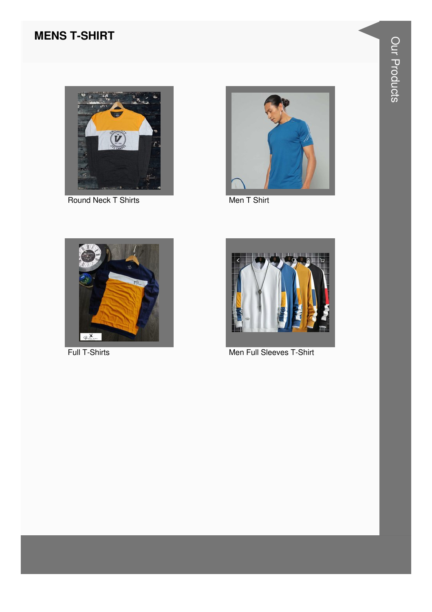#### **MENS T-SHIRT**



Round Neck T Shirts Men T Shirt







Full T-Shirts Men Full Sleeves T-Shirt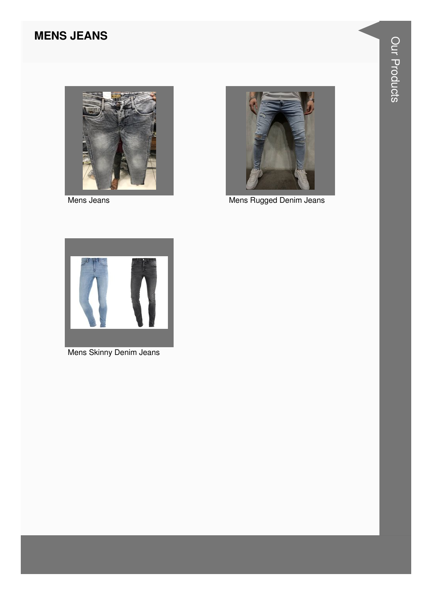# **MENS JEANS**



Mens Jeans



Mens Rugged Denim Jeans



Mens Skinny Denim Jeans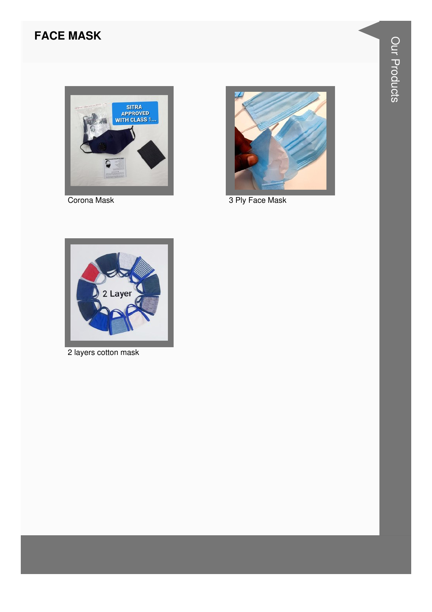### **FACE MASK**



Corona Mask



3 Ply Face Mask



2 layers cotton mask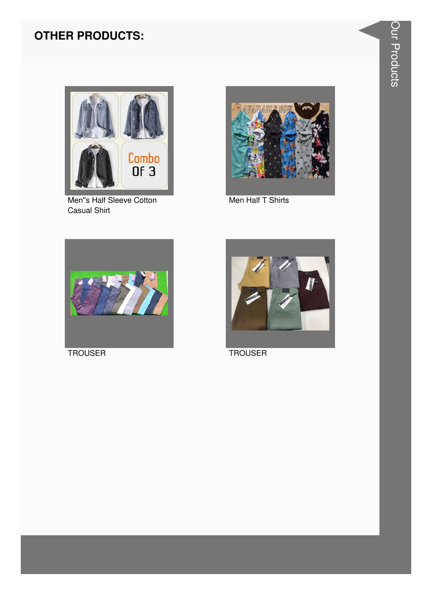### **OTHER PRODUCTS:**



Men"s Half Sleeve Cotton **Casual Shirt** 



Men Half T Shirts



**TROUSER** 



**TROUSER**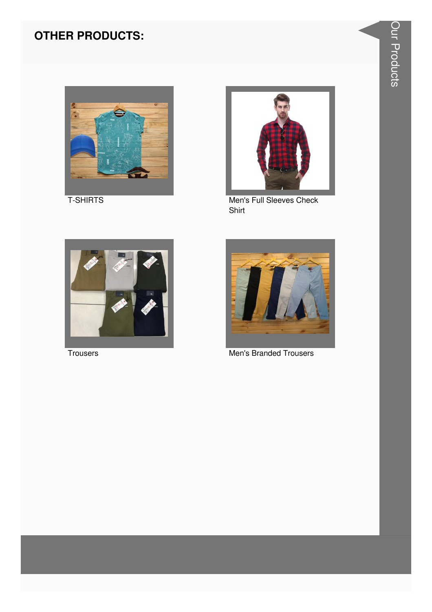# **OTHER PRODUCTS:**



**T-SHIRTS** 



Men's Full Sleeves Check Shirt



Trousers



**Men's Branded Trousers**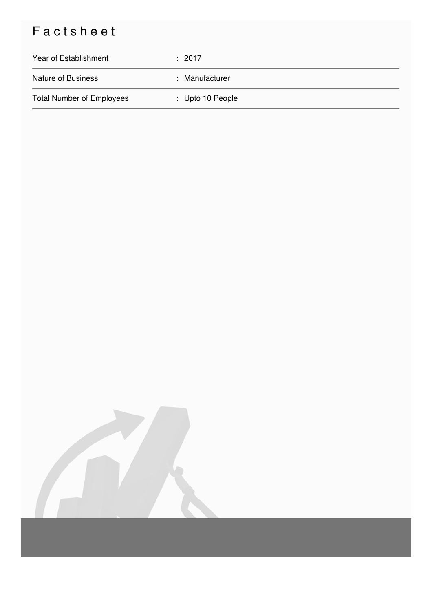# Factsheet

| Year of Establishment            | : 2017           |
|----------------------------------|------------------|
| <b>Nature of Business</b>        | : Manufacturer   |
| <b>Total Number of Employees</b> | : Upto 10 People |